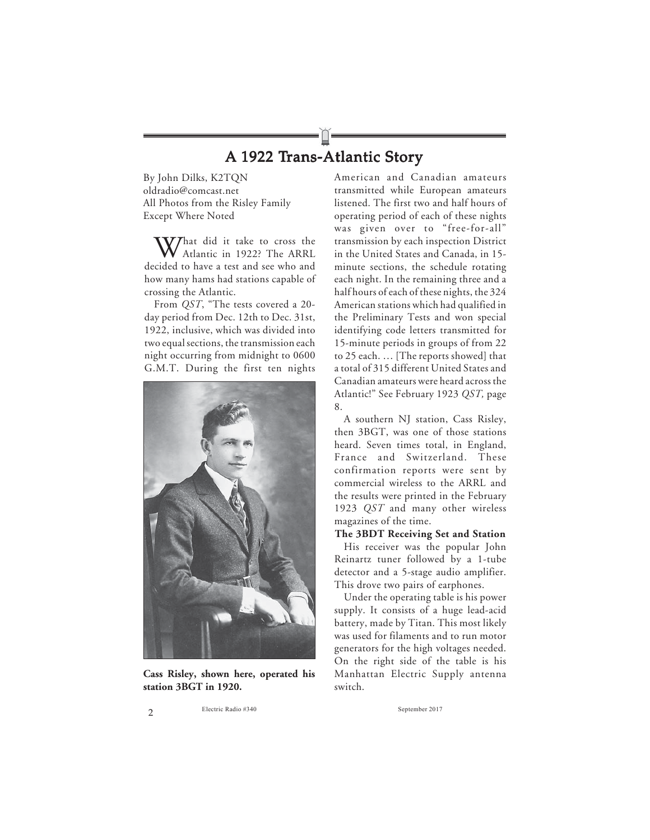## A 1922 Trans-Atlantic Story

By John Dilks, K2TQN oldradio@comcast.net All Photos from the Risley Family Except Where Noted

 $V$ That did it take to cross the Atlantic in 1922? The ARRL decided to have a test and see who and how many hams had stations capable of crossing the Atlantic.

From *QST*, "The tests covered a 20 day period from Dec. 12th to Dec. 31st, 1922, inclusive, which was divided into two equal sections, the transmission each night occurring from midnight to 0600 G.M.T. During the first ten nights



**Cass Risley, shown here, operated his station 3BGT in 1920.**

American and Canadian amateurs transmitted while European amateurs listened. The first two and half hours of operating period of each of these nights was given over to "free-for-all" transmission by each inspection District in the United States and Canada, in 15 minute sections, the schedule rotating each night. In the remaining three and a half hours of each of these nights, the 324 American stations which had qualified in the Preliminary Tests and won special identifying code letters transmitted for 15-minute periods in groups of from 22 to 25 each. … [The reports showed] that a total of 315 different United States and Canadian amateurs were heard across the Atlantic!" See February 1923 *QST,* page 8.

A southern NJ station, Cass Risley, then 3BGT, was one of those stations heard. Seven times total, in England, France and Switzerland. These confirmation reports were sent by commercial wireless to the ARRL and the results were printed in the February 1923 *QST* and many other wireless magazines of the time.

## **The 3BDT Receiving Set and Station**

His receiver was the popular John Reinartz tuner followed by a 1-tube detector and a 5-stage audio amplifier. This drove two pairs of earphones.

Under the operating table is his power supply. It consists of a huge lead-acid battery, made by Titan. This most likely was used for filaments and to run motor generators for the high voltages needed. On the right side of the table is his Manhattan Electric Supply antenna switch.

2 Electric Radio #340 September 2017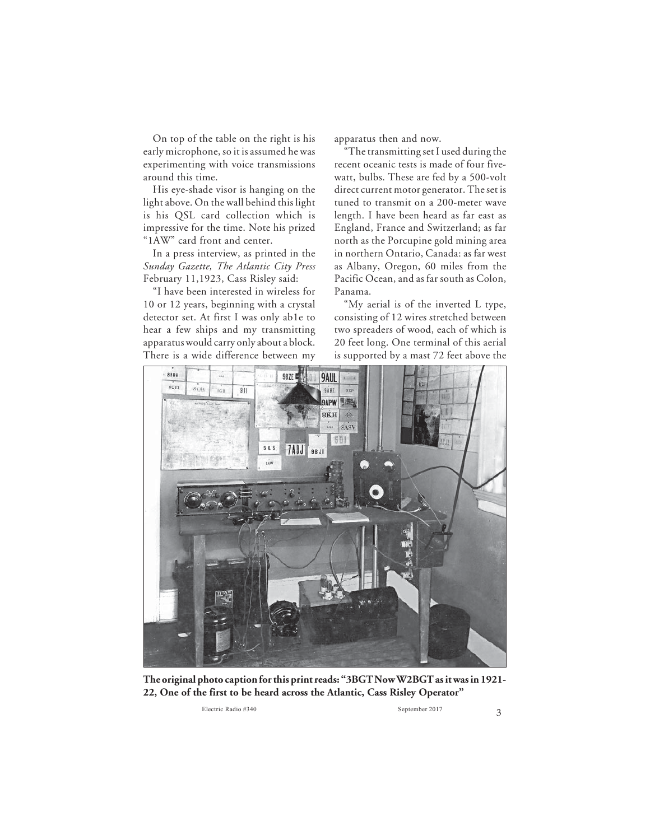On top of the table on the right is his early microphone, so it is assumed he was experimenting with voice transmissions around this time.

His eye-shade visor is hanging on the light above. On the wall behind this light is his QSL card collection which is impressive for the time. Note his prized "1AW" card front and center.

In a press interview, as printed in the *Sunday Gazette, The Atlantic City Press* February 11,1923, Cass Risley said:

"I have been interested in wireless for 10 or 12 years, beginning with a crystal detector set. At first I was only ab1e to hear a few ships and my transmitting apparatus would carry only about a block. There is a wide difference between my apparatus then and now.

"The transmitting set I used during the recent oceanic tests is made of four fivewatt, bulbs. These are fed by a 500-volt direct current motor generator. The set is tuned to transmit on a 200-meter wave length. I have been heard as far east as England, France and Switzerland; as far north as the Porcupine gold mining area in northern Ontario, Canada: as far west as Albany, Oregon, 60 miles from the Pacific Ocean, and as far south as Colon, Panama.

"My aerial is of the inverted L type, consisting of 12 wires stretched between two spreaders of wood, each of which is 20 feet long. One terminal of this aerial is supported by a mast 72 feet above the



**The original photo caption for this print reads: "3BGT Now W2BGT as it was in 1921- 22, One of the first to be heard across the Atlantic, Cass Risley Operator"**

Electric Radio #340 September 2017 3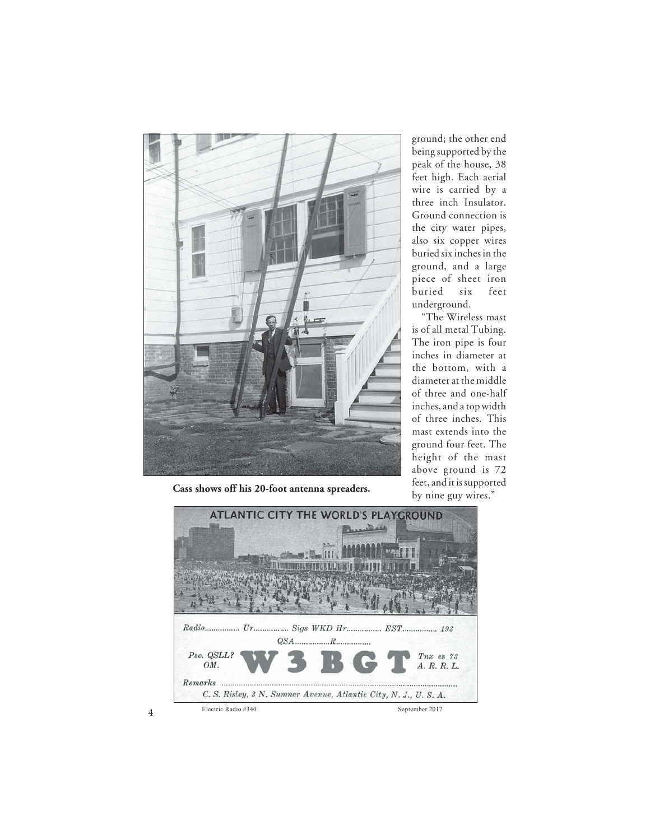

ground; the other end being supported by the peak of the house, 38 feet high. Each aerial wire is carried by a three inch Insulator. Ground connection is the city water pipes, also six copper wires buried six inches in the ground, and a large piece of sheet iron buried six feet underground.

"The Wireless mast is of all metal Tubing. The iron pipe is four inches in diameter at the bottom, with a diameter at the middle of three and one-half inches, and a top width of three inches. This mast extends into the ground four feet. The height of the mast above ground is 72 feet, and it is supported

**Cass shows off his 20-foot antenna spreaders.** by nine guy wires."

ATLANTIC CITY THE WORLD'S PLAYGROUND 30.66 **III I ROMANTES LISTE DE L'ULTU** Radio................ Ur................ Sigs WKD Hr................ EST................ 193  $QSA...$  $\ldots \ldots \ldots R$ . Pse. QSLL? Tnx es 73 OM. A. R. R. L.  $\n Remarks\n$ ........... C. S. Risley, 3 N. Sumner Avenue, Atlantic City, N. J., U. S. A. 4 Electric Radio #340 September 2017